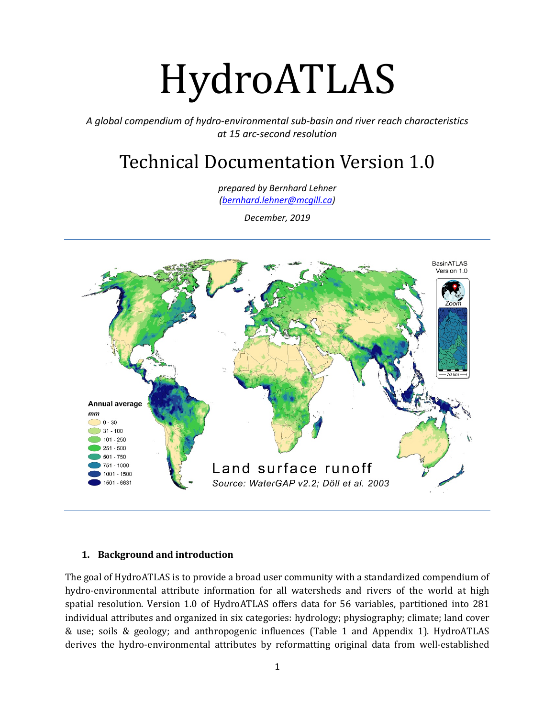# HydroATLAS

*A global compendium of hydro-environmental sub-basin and river reach characteristics at 15 arc-second resolution*

# Technical Documentation Version 1.0

*prepared by Bernhard Lehner [\(bernhard.lehner@mcgill.ca\)](mailto:bernhard.lehner@mcgill.ca)*

*December, 2019*



#### **1. Background and introduction**

The goal of HydroATLAS is to provide a broad user community with a standardized compendium of hydro-environmental attribute information for all watersheds and rivers of the world at high spatial resolution. Version 1.0 of HydroATLAS offers data for 56 variables, partitioned into 281 individual attributes and organized in six categories: hydrology; physiography; climate; land cover & use; soils & geology; and anthropogenic influences (Table 1 and Appendix 1). HydroATLAS derives the hydro-environmental attributes by reformatting original data from well-established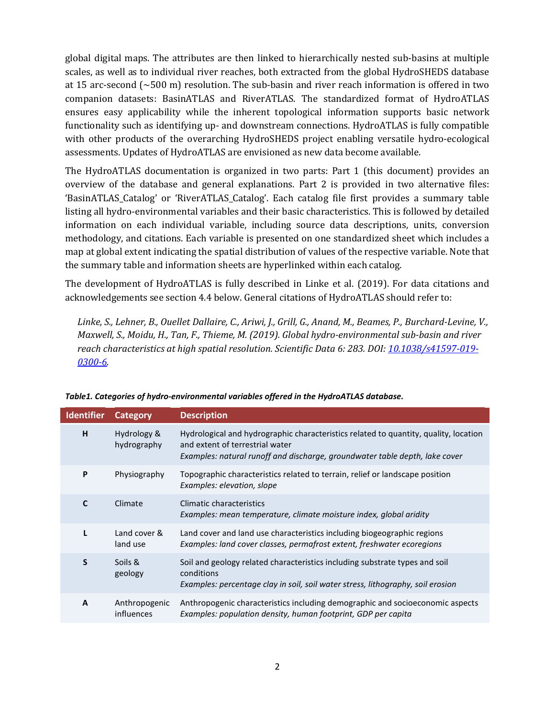global digital maps. The attributes are then linked to hierarchically nested sub-basins at multiple scales, as well as to individual river reaches, both extracted from the global HydroSHEDS database at 15 arc-second (~500 m) resolution. The sub-basin and river reach information is offered in two companion datasets: BasinATLAS and RiverATLAS. The standardized format of HydroATLAS ensures easy applicability while the inherent topological information supports basic network functionality such as identifying up- and downstream connections. HydroATLAS is fully compatible with other products of the overarching HydroSHEDS project enabling versatile hydro-ecological assessments. Updates of HydroATLAS are envisioned as new data become available.

The HydroATLAS documentation is organized in two parts: Part 1 (this document) provides an overview of the database and general explanations. Part 2 is provided in two alternative files: 'BasinATLAS\_Catalog' or 'RiverATLAS\_Catalog'. Each catalog file first provides a summary table listing all hydro-environmental variables and their basic characteristics. This is followed by detailed information on each individual variable, including source data descriptions, units, conversion methodology, and citations. Each variable is presented on one standardized sheet which includes a map at global extent indicating the spatial distribution of values of the respective variable. Note that the summary table and information sheets are hyperlinked within each catalog.

The development of HydroATLAS is fully described in Linke et al. (2019). For data citations and acknowledgements see section 4.4 below. General citations of HydroATLAS should refer to:

*Linke, S., Lehner, B., Ouellet Dallaire, C., Ariwi, J., Grill, G., Anand, M., Beames, P., Burchard-Levine, V., Maxwell, S., Moidu, H., Tan, F., Thieme, M. (2019). Global hydro-environmental sub-basin and river reach characteristics at high spatial resolution. Scientific Data 6: 283. DOI: [10.1038/s41597-019-](https://doi.org/10.1038/s41597-019-0300-6) [0300-6.](https://doi.org/10.1038/s41597-019-0300-6)*

| <b>Identifier</b> | Category                                                                                                  | <b>Description</b>                                                                                                                                                                                     |  |
|-------------------|-----------------------------------------------------------------------------------------------------------|--------------------------------------------------------------------------------------------------------------------------------------------------------------------------------------------------------|--|
| H                 | Hydrology &<br>hydrography                                                                                | Hydrological and hydrographic characteristics related to quantity, quality, location<br>and extent of terrestrial water<br>Examples: natural runoff and discharge, groundwater table depth, lake cover |  |
| P                 | Physiography                                                                                              | Topographic characteristics related to terrain, relief or landscape position<br>Examples: elevation, slope                                                                                             |  |
| $\mathbf C$       | Climate<br>Climatic characteristics<br>Examples: mean temperature, climate moisture index, global aridity |                                                                                                                                                                                                        |  |
| L                 | Land cover &<br>land use                                                                                  | Land cover and land use characteristics including biogeographic regions<br>Examples: land cover classes, permafrost extent, freshwater ecoregions                                                      |  |
| S                 | Soils &<br>geology                                                                                        | Soil and geology related characteristics including substrate types and soil<br>conditions<br>Examples: percentage clay in soil, soil water stress, lithography, soil erosion                           |  |
| A                 | Anthropogenic<br>influences                                                                               | Anthropogenic characteristics including demographic and socioeconomic aspects<br>Examples: population density, human footprint, GDP per capita                                                         |  |

*Table1. Categories of hydro-environmental variables offered in the HydroATLAS database.*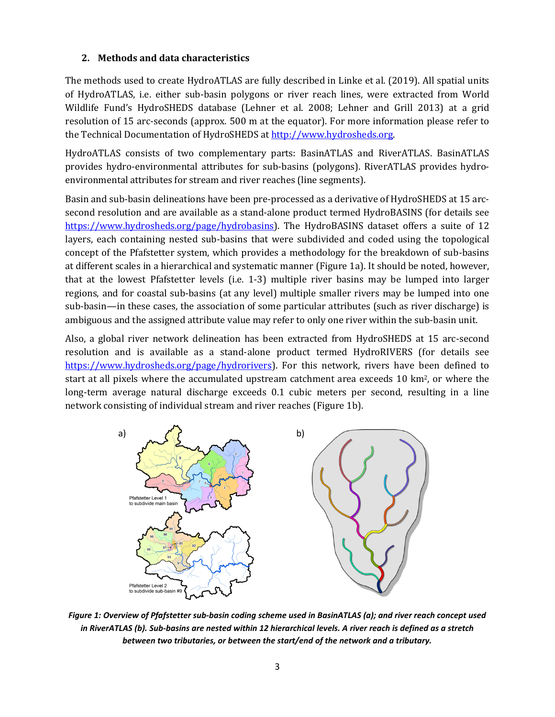# **2. Methods and data characteristics**

The methods used to create HydroATLAS are fully described in Linke et al. (2019). All spatial units of HydroATLAS, i.e. either sub-basin polygons or river reach lines, were extracted from World Wildlife Fund's HydroSHEDS database (Lehner et al. 2008; Lehner and Grill 2013) at a grid resolution of 15 arc-seconds (approx. 500 m at the equator). For more information please refer to the Technical Documentation of HydroSHEDS a[t http://www.hydrosheds.org.](http://www.hydrosheds.org/)

HydroATLAS consists of two complementary parts: BasinATLAS and RiverATLAS. BasinATLAS provides hydro-environmental attributes for sub-basins (polygons). RiverATLAS provides hydroenvironmental attributes for stream and river reaches (line segments).

Basin and sub-basin delineations have been pre-processed as a derivative of HydroSHEDS at 15 arcsecond resolution and are available as a stand-alone product termed HydroBASINS (for details see [https://www.hydrosheds.org/page/hydrobasins\)](https://www.hydrosheds.org/page/hydrobasins). The HydroBASINS dataset offers a suite of 12 layers, each containing nested sub-basins that were subdivided and coded using the topological concept of the Pfafstetter system, which provides a methodology for the breakdown of sub-basins at different scales in a hierarchical and systematic manner (Figure 1a). It should be noted, however, that at the lowest Pfafstetter levels (i.e. 1-3) multiple river basins may be lumped into larger regions, and for coastal sub-basins (at any level) multiple smaller rivers may be lumped into one sub-basin—in these cases, the association of some particular attributes (such as river discharge) is ambiguous and the assigned attribute value may refer to only one river within the sub-basin unit.

Also, a global river network delineation has been extracted from HydroSHEDS at 15 arc-second resolution and is available as a stand-alone product termed HydroRIVERS (for details see [https://www.hydrosheds.org/page/hydrorivers\)](https://www.hydrosheds.org/page/hydrorivers). For this network, rivers have been defined to start at all pixels where the accumulated upstream catchment area exceeds 10 km2, or where the long-term average natural discharge exceeds 0.1 cubic meters per second, resulting in a line network consisting of individual stream and river reaches (Figure 1b).



*Figure 1: Overview of Pfafstetter sub-basin coding scheme used in BasinATLAS (a); and river reach concept used in RiverATLAS (b). Sub-basins are nested within 12 hierarchical levels. A river reach is defined as a stretch between two tributaries, or between the start/end of the network and a tributary.*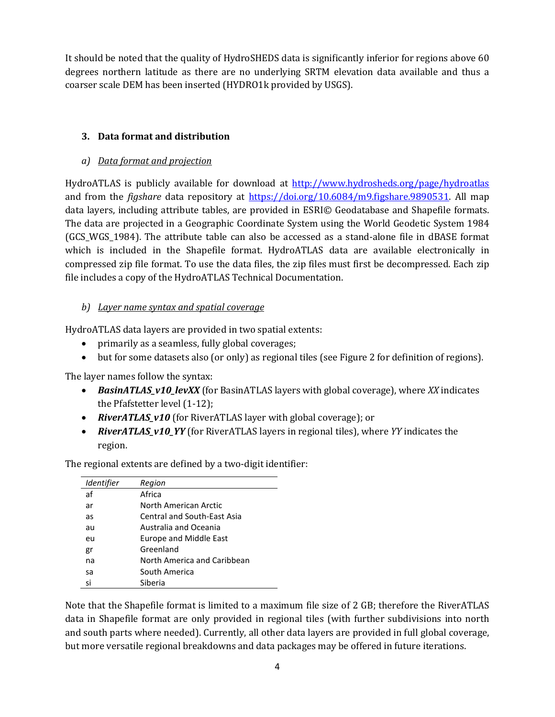It should be noted that the quality of HydroSHEDS data is significantly inferior for regions above 60 degrees northern latitude as there are no underlying SRTM elevation data available and thus a coarser scale DEM has been inserted (HYDRO1k provided by USGS).

# **3. Data format and distribution**

# *a) Data format and projection*

HydroATLAS is publicly available for download at<http://www.hydrosheds.org/page/hydroatlas> and from the *figshare* data repository at [https://doi.org/10.6084/m9.figshare.9890531.](https://doi.org/10.6084/m9.figshare.9890531) All map data layers, including attribute tables, are provided in ESRI© Geodatabase and Shapefile formats. The data are projected in a Geographic Coordinate System using the World Geodetic System 1984 (GCS\_WGS\_1984). The attribute table can also be accessed as a stand-alone file in dBASE format which is included in the Shapefile format. HydroATLAS data are available electronically in compressed zip file format. To use the data files, the zip files must first be decompressed. Each zip file includes a copy of the HydroATLAS Technical Documentation.

# *b) Layer name syntax and spatial coverage*

HydroATLAS data layers are provided in two spatial extents:

- primarily as a seamless, fully global coverages;
- but for some datasets also (or only) as regional tiles (see Figure 2 for definition of regions).

The layer names follow the syntax:

- *BasinATLAS\_v10\_levXX* (for BasinATLAS layers with global coverage), where *XX* indicates the Pfafstetter level (1-12);
- *RiverATLAS\_v10* (for RiverATLAS layer with global coverage); or
- *RiverATLAS\_v10\_YY* (for RiverATLAS layers in regional tiles), where *YY* indicates the region.

The regional extents are defined by a two-digit identifier:

| Identifier | Region                      |
|------------|-----------------------------|
| af         | Africa                      |
| ar         | North American Arctic       |
| as         | Central and South-East Asia |
| au         | Australia and Oceania       |
| eu         | Europe and Middle East      |
| gr         | Greenland                   |
| na         | North America and Caribbean |
| sa         | South America               |
| si         | Siberia                     |

Note that the Shapefile format is limited to a maximum file size of 2 GB; therefore the RiverATLAS data in Shapefile format are only provided in regional tiles (with further subdivisions into north and south parts where needed). Currently, all other data layers are provided in full global coverage, but more versatile regional breakdowns and data packages may be offered in future iterations.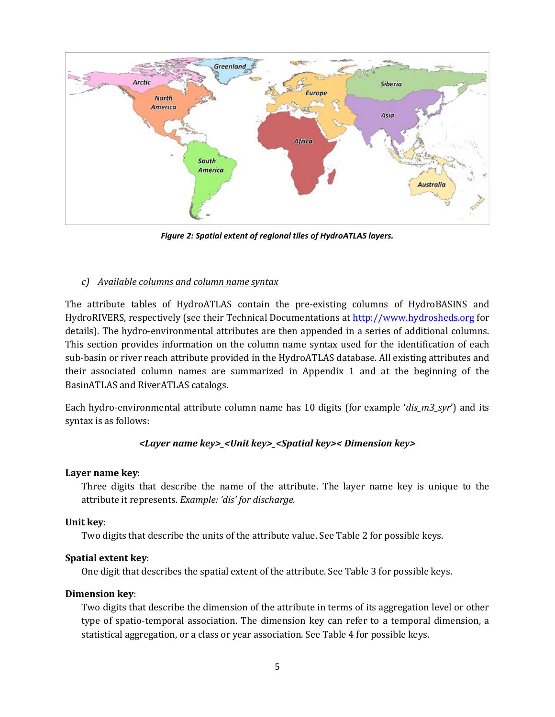

*Figure 2: Spatial extent of regional tiles of HydroATLAS layers.*

#### *c) Available columns and column name syntax*

The attribute tables of HydroATLAS contain the pre-existing columns of HydroBASINS and HydroRIVERS, respectively (see their Technical Documentations at [http://www.hydrosheds.org](http://www.hydrosheds.org/) for details). The hydro-environmental attributes are then appended in a series of additional columns. This section provides information on the column name syntax used for the identification of each sub-basin or river reach attribute provided in the HydroATLAS database. All existing attributes and their associated column names are summarized in Appendix 1 and at the beginning of the BasinATLAS and RiverATLAS catalogs.

Each hydro-environmental attribute column name has 10 digits (for example '*dis\_m3\_syr*') and its syntax is as follows:

#### *<Layer name key>\_<Unit key>\_<Spatial key>< Dimension key>*

#### **Layer name key**:

Three digits that describe the name of the attribute. The layer name key is unique to the attribute it represents. *Example: 'dis' for discharge.*

#### **Unit key**:

Two digits that describe the units of the attribute value. See Table 2 for possible keys.

#### **Spatial extent key**:

One digit that describes the spatial extent of the attribute. See Table 3 for possible keys.

#### **Dimension key**:

Two digits that describe the dimension of the attribute in terms of its aggregation level or other type of spatio-temporal association. The dimension key can refer to a temporal dimension, a statistical aggregation, or a class or year association. See Table 4 for possible keys.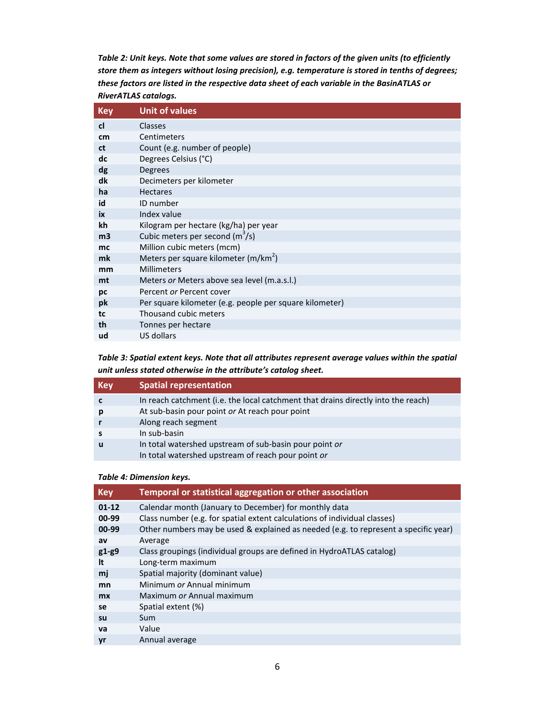*Table 2: Unit keys. Note that some values are stored in factors of the given units (to efficiently store them as integers without losing precision), e.g. temperature is stored in tenths of degrees; these factors are listed in the respective data sheet of each variable in the BasinATLAS or RiverATLAS catalogs.*

| <b>Key</b>     | <b>Unit of values</b>                                   |  |  |  |
|----------------|---------------------------------------------------------|--|--|--|
| <sub>cl</sub>  | Classes                                                 |  |  |  |
| cm             | Centimeters                                             |  |  |  |
| ct             | Count (e.g. number of people)                           |  |  |  |
| dc             | Degrees Celsius (°C)                                    |  |  |  |
| dg             | Degrees                                                 |  |  |  |
| dk             | Decimeters per kilometer                                |  |  |  |
| ha             | <b>Hectares</b>                                         |  |  |  |
| id             | ID number                                               |  |  |  |
| iх             | Index value                                             |  |  |  |
| kh             | Kilogram per hectare (kg/ha) per year                   |  |  |  |
| m <sub>3</sub> | Cubic meters per second $(m^3/s)$                       |  |  |  |
| mc             | Million cubic meters (mcm)                              |  |  |  |
| mk             | Meters per square kilometer (m/km <sup>2</sup> )        |  |  |  |
| mm             | Millimeters                                             |  |  |  |
| mt             | Meters or Meters above sea level (m.a.s.l.)             |  |  |  |
| pc             | Percent or Percent cover                                |  |  |  |
| pk             | Per square kilometer (e.g. people per square kilometer) |  |  |  |
| tc             | Thousand cubic meters                                   |  |  |  |
| th             | Tonnes per hectare                                      |  |  |  |
| ud             | US dollars                                              |  |  |  |

*Table 3: Spatial extent keys. Note that all attributes represent average values within the spatial unit unless stated otherwise in the attribute's catalog sheet.*

| <b>Key</b> | <b>Spatial representation</b>                                                     |  |
|------------|-----------------------------------------------------------------------------------|--|
|            | In reach catchment (i.e. the local catchment that drains directly into the reach) |  |
|            | At sub-basin pour point or At reach pour point                                    |  |
|            | Along reach segment                                                               |  |
|            | In sub-basin                                                                      |  |
|            | In total watershed upstream of sub-basin pour point or                            |  |
|            | In total watershed upstream of reach pour point or                                |  |

#### *Table 4: Dimension keys.*

| <b>Key</b> | <b>Temporal or statistical aggregation or other association</b>                     |  |  |  |  |
|------------|-------------------------------------------------------------------------------------|--|--|--|--|
| $01 - 12$  | Calendar month (January to December) for monthly data                               |  |  |  |  |
| 00-99      | Class number (e.g. for spatial extent calculations of individual classes)           |  |  |  |  |
| 00-99      | Other numbers may be used & explained as needed (e.g. to represent a specific year) |  |  |  |  |
| av         | Average                                                                             |  |  |  |  |
| $g1-g9$    | Class groupings (individual groups are defined in HydroATLAS catalog)               |  |  |  |  |
| It         | Long-term maximum                                                                   |  |  |  |  |
| mj         | Spatial majority (dominant value)                                                   |  |  |  |  |
| mn         | Minimum or Annual minimum                                                           |  |  |  |  |
| <b>mx</b>  | Maximum or Annual maximum                                                           |  |  |  |  |
| se         | Spatial extent (%)                                                                  |  |  |  |  |
| su         | Sum                                                                                 |  |  |  |  |
| va         | Value                                                                               |  |  |  |  |
| yr         | Annual average                                                                      |  |  |  |  |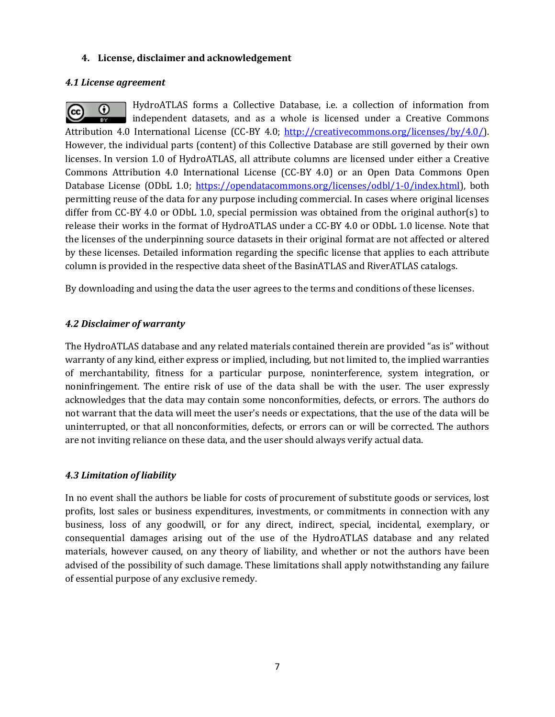#### **4. License, disclaimer and acknowledgement**

#### *4.1 License agreement*

HydroATLAS forms a Collective Database, i.e. a collection of information from  $_{\odot}$ (cc) independent datasets, and as a whole is licensed under a Creative Commons Attribution 4.0 International License (CC-BY 4.0; [http://creativecommons.org/licenses/by/4.0/\)](http://creativecommons.org/licenses/by/4.0/). However, the individual parts (content) of this Collective Database are still governed by their own licenses. In version 1.0 of HydroATLAS, all attribute columns are licensed under either a Creative Commons Attribution 4.0 International License (CC-BY 4.0) or an Open Data Commons Open Database License (ODbL 1.0; [https://opendatacommons.org/licenses/odbl/1-0/index.html\)](https://opendatacommons.org/licenses/odbl/1-0/index.html), both permitting reuse of the data for any purpose including commercial. In cases where original licenses differ from CC-BY 4.0 or ODbL 1.0, special permission was obtained from the original author(s) to release their works in the format of HydroATLAS under a CC-BY 4.0 or ODbL 1.0 license. Note that the licenses of the underpinning source datasets in their original format are not affected or altered by these licenses. Detailed information regarding the specific license that applies to each attribute column is provided in the respective data sheet of the BasinATLAS and RiverATLAS catalogs.

By downloading and using the data the user agrees to the terms and conditions of these licenses.

# *4.2 Disclaimer of warranty*

The HydroATLAS database and any related materials contained therein are provided "as is" without warranty of any kind, either express or implied, including, but not limited to, the implied warranties of merchantability, fitness for a particular purpose, noninterference, system integration, or noninfringement. The entire risk of use of the data shall be with the user. The user expressly acknowledges that the data may contain some nonconformities, defects, or errors. The authors do not warrant that the data will meet the user's needs or expectations, that the use of the data will be uninterrupted, or that all nonconformities, defects, or errors can or will be corrected. The authors are not inviting reliance on these data, and the user should always verify actual data.

#### *4.3 Limitation of liability*

In no event shall the authors be liable for costs of procurement of substitute goods or services, lost profits, lost sales or business expenditures, investments, or commitments in connection with any business, loss of any goodwill, or for any direct, indirect, special, incidental, exemplary, or consequential damages arising out of the use of the HydroATLAS database and any related materials, however caused, on any theory of liability, and whether or not the authors have been advised of the possibility of such damage. These limitations shall apply notwithstanding any failure of essential purpose of any exclusive remedy.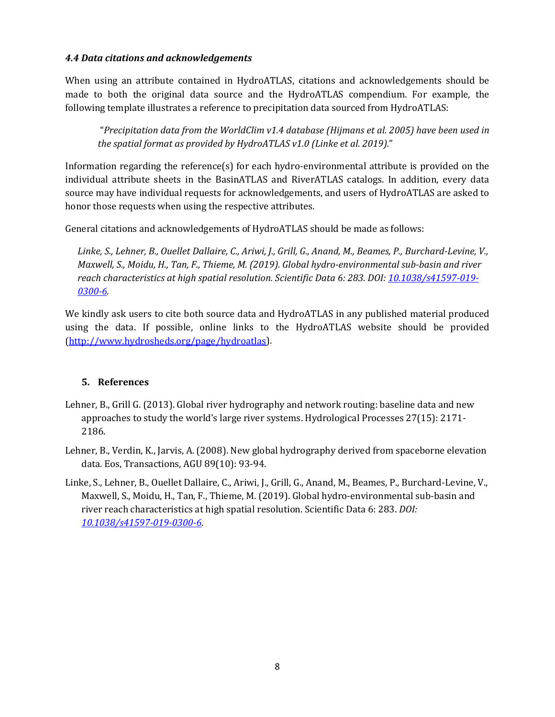# *4.4 Data citations and acknowledgements*

When using an attribute contained in HydroATLAS, citations and acknowledgements should be made to both the original data source and the HydroATLAS compendium. For example, the following template illustrates a reference to precipitation data sourced from HydroATLAS:

"*Precipitation data from the WorldClim v1.4 database (Hijmans et al. 2005) have been used in the spatial format as provided by HydroATLAS v1.0 (Linke et al. 2019).*"

Information regarding the reference(s) for each hydro-environmental attribute is provided on the individual attribute sheets in the BasinATLAS and RiverATLAS catalogs. In addition, every data source may have individual requests for acknowledgements, and users of HydroATLAS are asked to honor those requests when using the respective attributes.

General citations and acknowledgements of HydroATLAS should be made as follows:

*Linke, S., Lehner, B., Ouellet Dallaire, C., Ariwi, J., Grill, G., Anand, M., Beames, P., Burchard-Levine, V., Maxwell, S., Moidu, H., Tan, F., Thieme, M. (2019). Global hydro-environmental sub-basin and river reach characteristics at high spatial resolution. Scientific Data 6: 283. DOI: [10.1038/s41597-019-](https://doi.org/10.1038/s41597-019-0300-6) [0300-6.](https://doi.org/10.1038/s41597-019-0300-6)*

We kindly ask users to cite both source data and HydroATLAS in any published material produced using the data. If possible, online links to the HydroATLAS website should be provided [\(http://www.hydrosheds.org/page/hydroatlas\)](http://www.hydrosheds.org/page/hydroatlas).

#### **5. References**

- Lehner, B., Grill G. (2013). Global river hydrography and network routing: baseline data and new approaches to study the world's large river systems. Hydrological Processes 27(15): 2171- 2186.
- Lehner, B., Verdin, K., Jarvis, A. (2008). New global hydrography derived from spaceborne elevation data. Eos, Transactions, AGU 89(10): 93-94.
- Linke, S., Lehner, B., Ouellet Dallaire, C., Ariwi, J., Grill, G., Anand, M., Beames, P., Burchard-Levine, V., Maxwell, S., Moidu, H., Tan, F., Thieme, M. (2019). Global hydro-environmental sub-basin and river reach characteristics at high spatial resolution. Scientific Data 6: 283. *DOI: [10.1038/s41597-019-0300-6](https://doi.org/10.1038/s41597-019-0300-6)*.